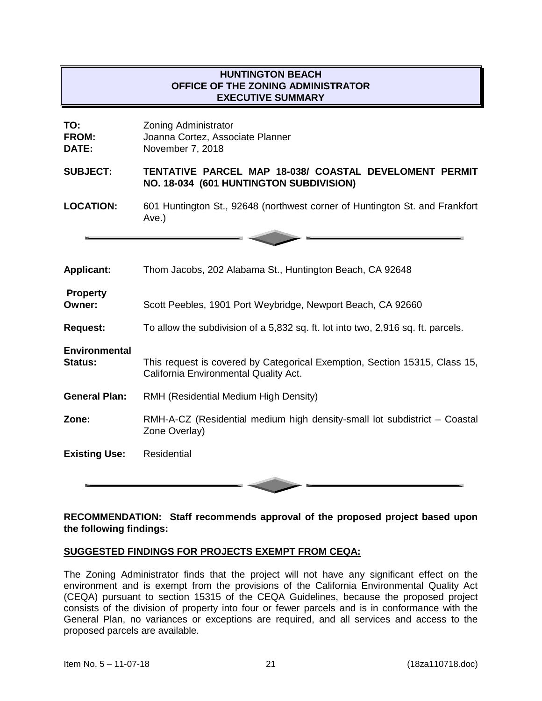# **HUNTINGTON BEACH OFFICE OF THE ZONING ADMINISTRATOR EXECUTIVE SUMMARY**

| TO:<br><b>FROM:</b><br>DATE:           | <b>Zoning Administrator</b><br>Joanna Cortez, Associate Planner<br>November 7, 2018                                 |
|----------------------------------------|---------------------------------------------------------------------------------------------------------------------|
| <b>SUBJECT:</b>                        | TENTATIVE PARCEL MAP 18-038/ COASTAL DEVELOMENT PERMIT<br>NO. 18-034 (601 HUNTINGTON SUBDIVISION)                   |
| <b>LOCATION:</b>                       | 601 Huntington St., 92648 (northwest corner of Huntington St. and Frankfort<br>Ave.)                                |
|                                        |                                                                                                                     |
| <b>Applicant:</b>                      | Thom Jacobs, 202 Alabama St., Huntington Beach, CA 92648                                                            |
| <b>Property</b><br>Owner:              | Scott Peebles, 1901 Port Weybridge, Newport Beach, CA 92660                                                         |
| <b>Request:</b>                        | To allow the subdivision of a 5,832 sq. ft. lot into two, 2,916 sq. ft. parcels.                                    |
| <b>Environmental</b><br><b>Status:</b> | This request is covered by Categorical Exemption, Section 15315, Class 15,<br>California Environmental Quality Act. |
| <b>General Plan:</b>                   | RMH (Residential Medium High Density)                                                                               |
| Zone:                                  | RMH-A-CZ (Residential medium high density-small lot subdistrict – Coastal<br>Zone Overlay)                          |
| <b>Existing Use:</b>                   | Residential                                                                                                         |

## **RECOMMENDATION: Staff recommends approval of the proposed project based upon the following findings:**

#### **SUGGESTED FINDINGS FOR PROJECTS EXEMPT FROM CEQA:**

The Zoning Administrator finds that the project will not have any significant effect on the environment and is exempt from the provisions of the California Environmental Quality Act (CEQA) pursuant to section 15315 of the CEQA Guidelines, because the proposed project consists of the division of property into four or fewer parcels and is in conformance with the General Plan, no variances or exceptions are required, and all services and access to the proposed parcels are available.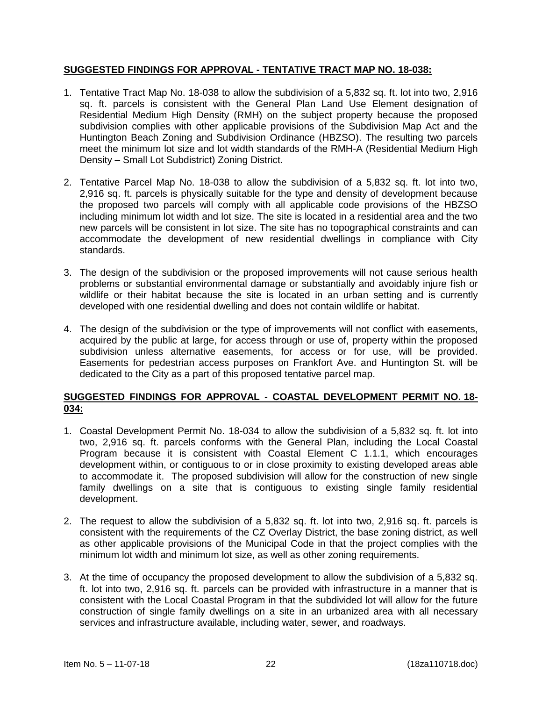## **SUGGESTED FINDINGS FOR APPROVAL - TENTATIVE TRACT MAP NO. 18-038:**

- 1. Tentative Tract Map No. 18-038 to allow the subdivision of a 5,832 sq. ft. lot into two, 2,916 sq. ft. parcels is consistent with the General Plan Land Use Element designation of Residential Medium High Density (RMH) on the subject property because the proposed subdivision complies with other applicable provisions of the Subdivision Map Act and the Huntington Beach Zoning and Subdivision Ordinance (HBZSO). The resulting two parcels meet the minimum lot size and lot width standards of the RMH-A (Residential Medium High Density – Small Lot Subdistrict) Zoning District.
- 2. Tentative Parcel Map No. 18-038 to allow the subdivision of a 5,832 sq. ft. lot into two, 2,916 sq. ft. parcels is physically suitable for the type and density of development because the proposed two parcels will comply with all applicable code provisions of the HBZSO including minimum lot width and lot size. The site is located in a residential area and the two new parcels will be consistent in lot size. The site has no topographical constraints and can accommodate the development of new residential dwellings in compliance with City standards.
- 3. The design of the subdivision or the proposed improvements will not cause serious health problems or substantial environmental damage or substantially and avoidably injure fish or wildlife or their habitat because the site is located in an urban setting and is currently developed with one residential dwelling and does not contain wildlife or habitat.
- 4. The design of the subdivision or the type of improvements will not conflict with easements, acquired by the public at large, for access through or use of, property within the proposed subdivision unless alternative easements, for access or for use, will be provided. Easements for pedestrian access purposes on Frankfort Ave. and Huntington St. will be dedicated to the City as a part of this proposed tentative parcel map.

# **SUGGESTED FINDINGS FOR APPROVAL - COASTAL DEVELOPMENT PERMIT NO. 18- 034:**

- 1. Coastal Development Permit No. 18-034 to allow the subdivision of a 5,832 sq. ft. lot into two, 2,916 sq. ft. parcels conforms with the General Plan, including the Local Coastal Program because it is consistent with Coastal Element C 1.1.1, which encourages development within, or contiguous to or in close proximity to existing developed areas able to accommodate it. The proposed subdivision will allow for the construction of new single family dwellings on a site that is contiguous to existing single family residential development.
- 2. The request to allow the subdivision of a 5,832 sq. ft. lot into two, 2,916 sq. ft. parcels is consistent with the requirements of the CZ Overlay District, the base zoning district, as well as other applicable provisions of the Municipal Code in that the project complies with the minimum lot width and minimum lot size, as well as other zoning requirements.
- 3. At the time of occupancy the proposed development to allow the subdivision of a 5,832 sq. ft. lot into two, 2,916 sq. ft. parcels can be provided with infrastructure in a manner that is consistent with the Local Coastal Program in that the subdivided lot will allow for the future construction of single family dwellings on a site in an urbanized area with all necessary services and infrastructure available, including water, sewer, and roadways.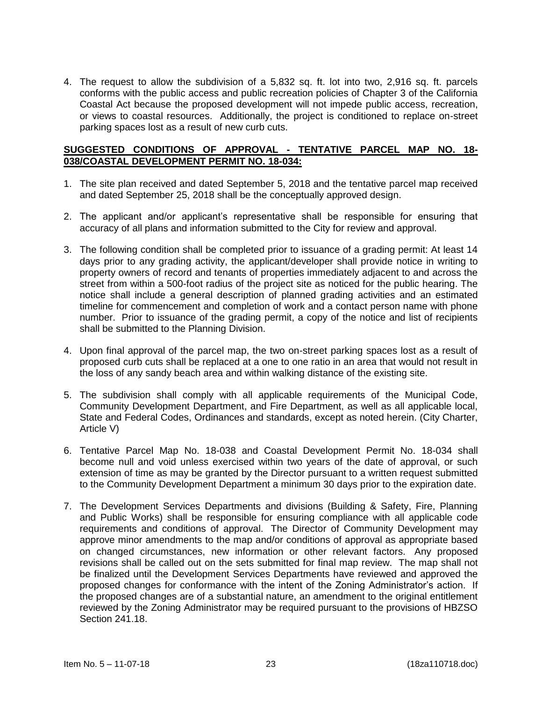4. The request to allow the subdivision of a 5,832 sq. ft. lot into two, 2,916 sq. ft. parcels conforms with the public access and public recreation policies of Chapter 3 of the California Coastal Act because the proposed development will not impede public access, recreation, or views to coastal resources. Additionally, the project is conditioned to replace on-street parking spaces lost as a result of new curb cuts.

## **SUGGESTED CONDITIONS OF APPROVAL - TENTATIVE PARCEL MAP NO. 18- 038/COASTAL DEVELOPMENT PERMIT NO. 18-034:**

- 1. The site plan received and dated September 5, 2018 and the tentative parcel map received and dated September 25, 2018 shall be the conceptually approved design.
- 2. The applicant and/or applicant's representative shall be responsible for ensuring that accuracy of all plans and information submitted to the City for review and approval.
- 3. The following condition shall be completed prior to issuance of a grading permit: At least 14 days prior to any grading activity, the applicant/developer shall provide notice in writing to property owners of record and tenants of properties immediately adjacent to and across the street from within a 500-foot radius of the project site as noticed for the public hearing. The notice shall include a general description of planned grading activities and an estimated timeline for commencement and completion of work and a contact person name with phone number. Prior to issuance of the grading permit, a copy of the notice and list of recipients shall be submitted to the Planning Division.
- 4. Upon final approval of the parcel map, the two on-street parking spaces lost as a result of proposed curb cuts shall be replaced at a one to one ratio in an area that would not result in the loss of any sandy beach area and within walking distance of the existing site.
- 5. The subdivision shall comply with all applicable requirements of the Municipal Code, Community Development Department, and Fire Department, as well as all applicable local, State and Federal Codes, Ordinances and standards, except as noted herein. (City Charter, Article V)
- 6. Tentative Parcel Map No. 18-038 and Coastal Development Permit No. 18-034 shall become null and void unless exercised within two years of the date of approval, or such extension of time as may be granted by the Director pursuant to a written request submitted to the Community Development Department a minimum 30 days prior to the expiration date.
- 7. The Development Services Departments and divisions (Building & Safety, Fire, Planning and Public Works) shall be responsible for ensuring compliance with all applicable code requirements and conditions of approval. The Director of Community Development may approve minor amendments to the map and/or conditions of approval as appropriate based on changed circumstances, new information or other relevant factors. Any proposed revisions shall be called out on the sets submitted for final map review. The map shall not be finalized until the Development Services Departments have reviewed and approved the proposed changes for conformance with the intent of the Zoning Administrator's action. If the proposed changes are of a substantial nature, an amendment to the original entitlement reviewed by the Zoning Administrator may be required pursuant to the provisions of HBZSO Section 241.18.